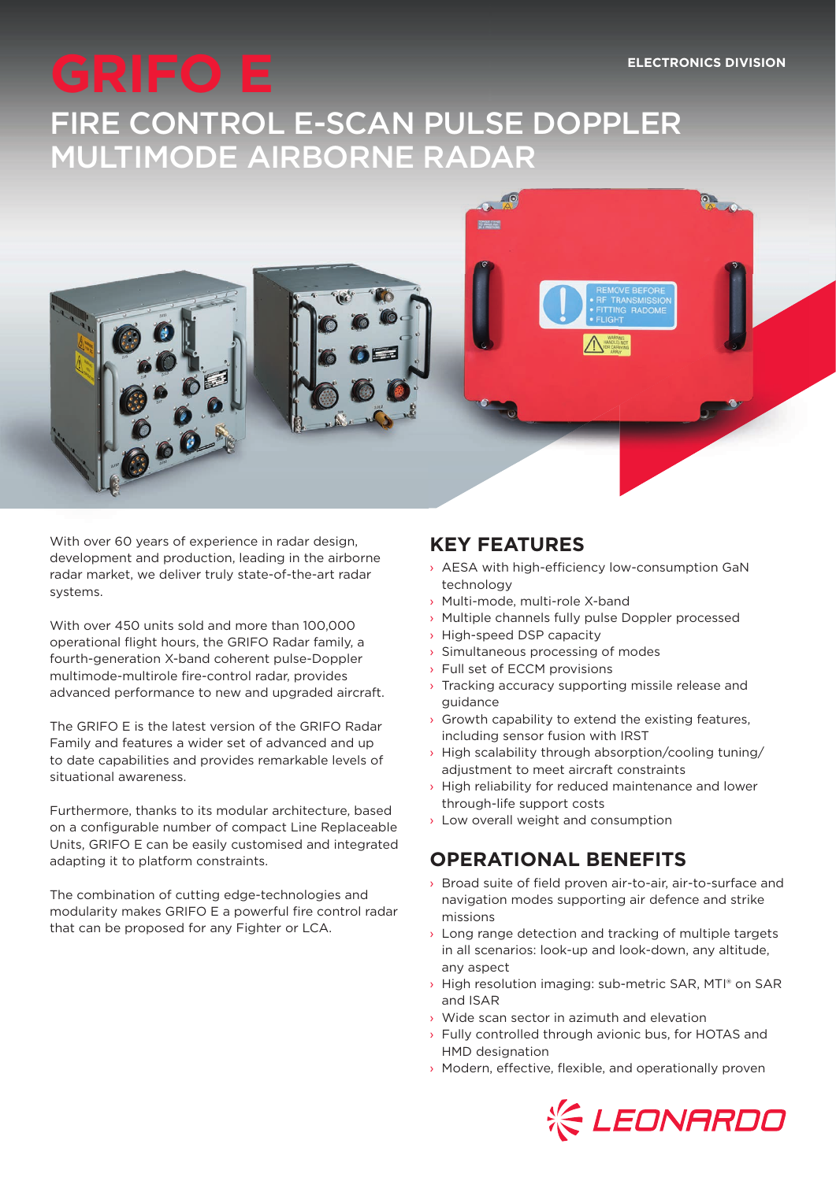# GRIFO E **ELECTRONICS DIVISION** FIRE CONTROL E-SCAN PULSE DOPPLER MULTIMODE AIRBORNE RADAR



With over 60 years of experience in radar design, development and production, leading in the airborne radar market, we deliver truly state-of-the-art radar systems.

With over 450 units sold and more than 100,000 operational flight hours, the GRIFO Radar family, a fourth-generation X-band coherent pulse-Doppler multimode-multirole fire-control radar, provides advanced performance to new and upgraded aircraft.

The GRIFO E is the latest version of the GRIFO Radar Family and features a wider set of advanced and up to date capabilities and provides remarkable levels of situational awareness.

Furthermore, thanks to its modular architecture, based on a configurable number of compact Line Replaceable Units, GRIFO E can be easily customised and integrated adapting it to platform constraints.

The combination of cutting edge-technologies and modularity makes GRIFO E a powerful fire control radar that can be proposed for any Fighter or LCA.

### **KEY FEATURES**

- $\rightarrow$  AESA with high-efficiency low-consumption GaN technology
- › Multi-mode, multi-role X-band
- › Multiple channels fully pulse Doppler processed
- › High-speed DSP capacity
- › Simultaneous processing of modes
- Full set of ECCM provisions
- › Tracking accuracy supporting missile release and guidance
- $\rightarrow$  Growth capability to extend the existing features, including sensor fusion with IRST
- › High scalability through absorption/cooling tuning/ adjustment to meet aircraft constraints
- $\rightarrow$  High reliability for reduced maintenance and lower through-life support costs
- › Low overall weight and consumption

## **OPERATIONAL BENEFITS**

- $\rightarrow$  Broad suite of field proven air-to-air, air-to-surface and navigation modes supporting air defence and strike missions
- $\rightarrow$  Long range detection and tracking of multiple targets in all scenarios: look-up and look-down, any altitude, any aspect
- › High resolution imaging: sub-metric SAR, MTI® on SAR and ISAR
- › Wide scan sector in azimuth and elevation
- › Fully controlled through avionic bus, for HOTAS and HMD designation
- $\rightarrow$  Modern, effective, flexible, and operationally proven